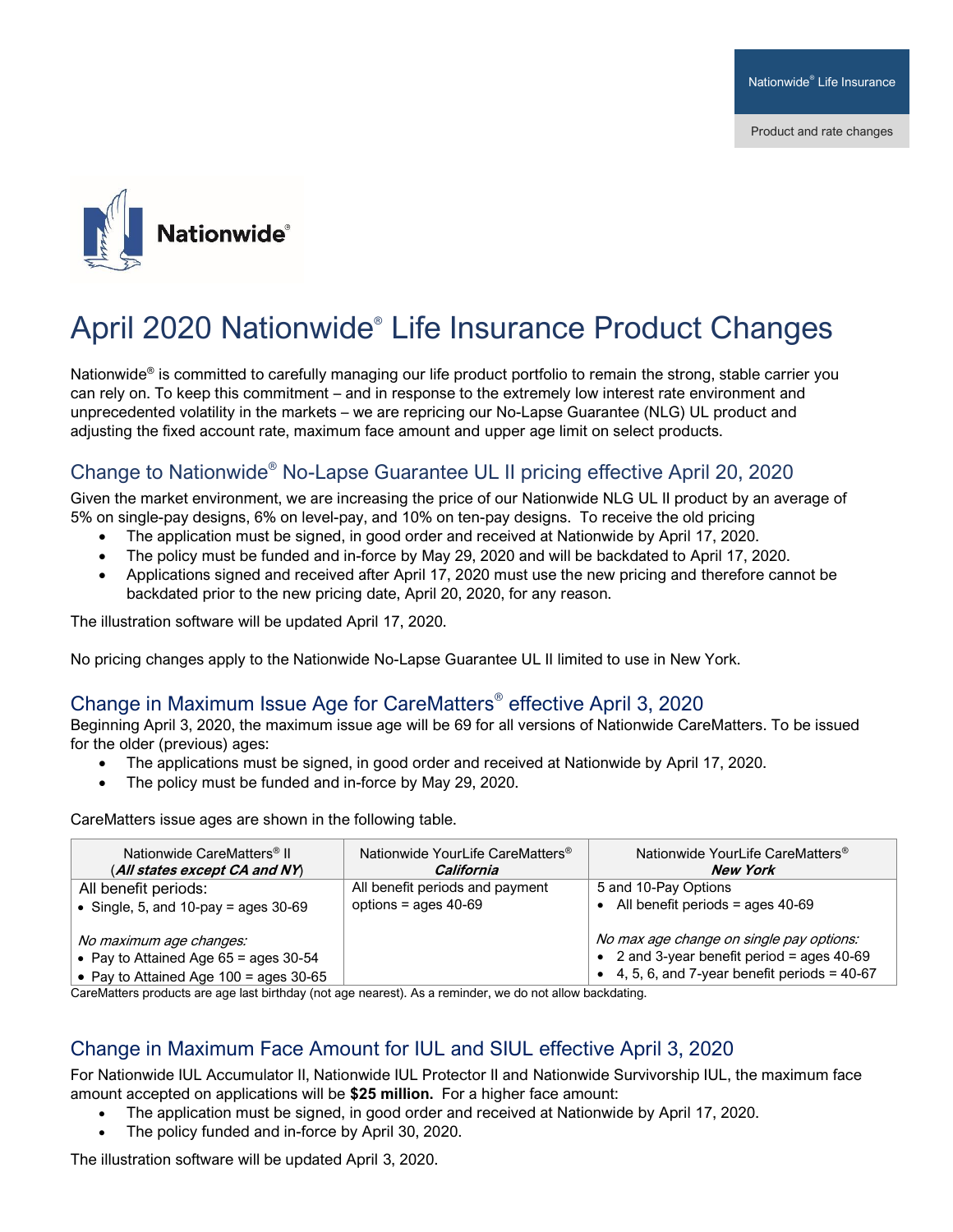

# April 2020 Nationwide® Life Insurance Product Changes

Nationwide<sup>®</sup> is committed to carefully managing our life product portfolio to remain the strong, stable carrier you can rely on. To keep this commitment – and in response to the extremely low interest rate environment and unprecedented volatility in the markets – we are repricing our No-Lapse Guarantee (NLG) UL product and adjusting the fixed account rate, maximum face amount and upper age limit on select products.

### Change to Nationwide® No-Lapse Guarantee UL II pricing effective April 20, 2020

Given the market environment, we are increasing the price of our Nationwide NLG UL II product by an average of 5% on single-pay designs, 6% on level-pay, and 10% on ten-pay designs. To receive the old pricing

- The application must be signed, in good order and received at Nationwide by April 17, 2020.
- The policy must be funded and in-force by May 29, 2020 and will be backdated to April 17, 2020.
- Applications signed and received after April 17, 2020 must use the new pricing and therefore cannot be backdated prior to the new pricing date, April 20, 2020, for any reason.

The illustration software will be updated April 17, 2020.

No pricing changes apply to the Nationwide No-Lapse Guarantee UL II limited to use in New York.

#### Change in Maximum Issue Age for CareMatters® effective April 3, 2020

Beginning April 3, 2020, the maximum issue age will be 69 for all versions of Nationwide CareMatters. To be issued for the older (previous) ages:

- The applications must be signed, in good order and received at Nationwide by April 17, 2020.
- The policy must be funded and in-force by May 29, 2020.

CareMatters issue ages are shown in the following table.

| Nationwide CareMatters <sup>®</sup> II<br>(All states except CA and NY)                                          | Nationwide YourLife CareMatters <sup>®</sup><br>California | Nationwide YourLife CareMatters <sup>®</sup><br>New York                                                                                          |
|------------------------------------------------------------------------------------------------------------------|------------------------------------------------------------|---------------------------------------------------------------------------------------------------------------------------------------------------|
| All benefit periods:                                                                                             | All benefit periods and payment                            | 5 and 10-Pay Options                                                                                                                              |
| • Single, 5, and 10-pay = ages $30-69$                                                                           | options = ages $40-69$                                     | • All benefit periods = ages $40-69$                                                                                                              |
| No maximum age changes:<br>• Pay to Attained Age $65 =$ ages 30-54<br>• Pay to Attained Age $100 =$ ages $30-65$ |                                                            | No max age change on single pay options:<br>• 2 and 3-year benefit period = ages $40-69$<br>$\bullet$ 4, 5, 6, and 7-year benefit periods = 40-67 |

CareMatters products are age last birthday (not age nearest). As a reminder, we do not allow backdating.

#### Change in Maximum Face Amount for IUL and SIUL effective April 3, 2020

For Nationwide IUL Accumulator II, Nationwide IUL Protector II and Nationwide Survivorship IUL, the maximum face amount accepted on applications will be **\$25 million.** For a higher face amount:

- The application must be signed, in good order and received at Nationwide by April 17, 2020.
- The policy funded and in-force by April 30, 2020.

The illustration software will be updated April 3, 2020.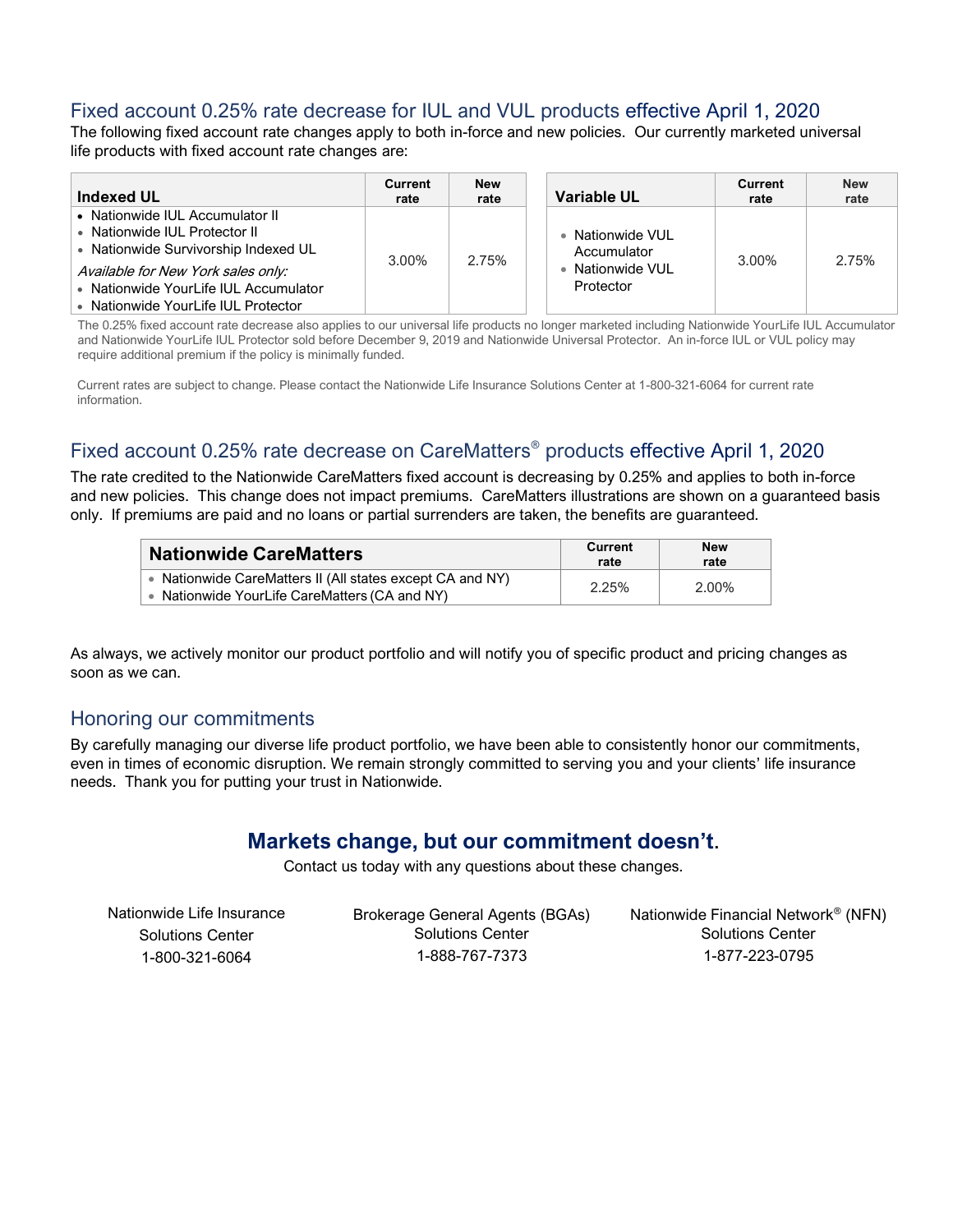#### Fixed account 0.25% rate decrease for IUL and VUL products effective April 1, 2020

The following fixed account rate changes apply to both in-force and new policies. Our currently marketed universal life products with fixed account rate changes are:

| <b>Indexed UL</b>                                                                                                                                                                                                              | <b>Current</b><br>rate | New<br>rate | Variable UL                                                      | Current<br>rate | <b>New</b><br>rate |
|--------------------------------------------------------------------------------------------------------------------------------------------------------------------------------------------------------------------------------|------------------------|-------------|------------------------------------------------------------------|-----------------|--------------------|
| • Nationwide IUL Accumulator II<br>• Nationwide IUL Protector II<br>• Nationwide Survivorship Indexed UL<br>Available for New York sales only:<br>• Nationwide YourLife IUL Accumulator<br>• Nationwide YourLife IUL Protector | 3.00%                  | 2.75%       | • Nationwide VUL<br>Accumulator<br>• Nationwide VUL<br>Protector | 3.00%           | 2.75%              |

The 0.25% fixed account rate decrease also applies to our universal life products no longer marketed including Nationwide YourLife IUL Accumulator and Nationwide YourLife IUL Protector sold before December 9, 2019 and Nationwide Universal Protector. An in-force IUL or VUL policy may require additional premium if the policy is minimally funded.

Current rates are subject to change. Please contact the Nationwide Life Insurance Solutions Center at 1-800-321-6064 for current rate information.

# Fixed account 0.25% rate decrease on CareMatters® products effective April 1, 2020

The rate credited to the Nationwide CareMatters fixed account is decreasing by 0.25% and applies to both in-force and new policies. This change does not impact premiums. CareMatters illustrations are shown on a guaranteed basis only. If premiums are paid and no loans or partial surrenders are taken, the benefits are guaranteed.

| <b>Nationwide CareMatters</b>                                                                              | <b>Current</b><br>rate | <b>New</b><br>rate |
|------------------------------------------------------------------------------------------------------------|------------------------|--------------------|
| • Nationwide CareMatters II (All states except CA and NY)<br>• Nationwide YourLife CareMatters (CA and NY) | 2.25%                  | 2.00%              |

As always, we actively monitor our product portfolio and will notify you of specific product and pricing changes as soon as we can.

#### Honoring our commitments

By carefully managing our diverse life product portfolio, we have been able to consistently honor our commitments, even in times of economic disruption. We remain strongly committed to serving you and your clients' life insurance needs. Thank you for putting your trust in Nationwide.

# **Markets change, but our commitment doesn't**.

Contact us today with any questions about these changes.

| Nationwide Life Insurance | Brokerage General Agents (BGAs) | Nationwide Financial Network <sup>®</sup> (NFN) |
|---------------------------|---------------------------------|-------------------------------------------------|
| <b>Solutions Center</b>   | Solutions Center                | <b>Solutions Center</b>                         |
| 1-800-321-6064            | 1-888-767-7373                  | 1-877-223-0795                                  |